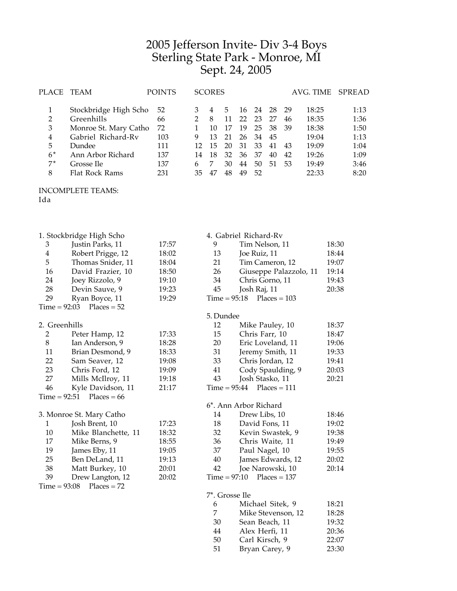## Jefferson Invite- Div 3-4 Boys Sterling State Park - Monroe, MI Sept. 24, 2005

| PLACE          | TEAM                  | <b>POINTS</b> |    | <b>SCORES</b> |    |     |     |    |     | AVG. TIME | SPREAD |
|----------------|-----------------------|---------------|----|---------------|----|-----|-----|----|-----|-----------|--------|
|                |                       | 52            |    |               | 5  | 16. | -24 | 28 | -29 | 18:25     | 1:13   |
|                | Stockbridge High Scho |               |    |               |    |     |     |    |     |           |        |
| $\overline{2}$ | Greenhills            | 66            |    | 8             |    | 22  | 23  | 27 | 46  | 18:35     | 1:36   |
| 3              | Monroe St. Mary Catho | 72            |    | 10            | 17 | 19  | 25  | 38 | -39 | 18:38     | 1:50   |
| 4              | Gabriel Richard-Rv    | 103           | 9  | 13            | 21 | 26  | 34  | 45 |     | 19:04     | 1:13   |
| 5              | Dundee                | 111           |    | 15            | 20 | 31  | 33  | 41 | 43  | 19:09     | 1:04   |
| $6*$           | Ann Arbor Richard     | 137           | 14 | 18            | 32 | 36  | 37  | 40 | 42  | 19:26     | 1:09   |
| $7^*$          | Grosse Ile            | 137           | 6  |               | 30 | 44  | 50  | 51 | -53 | 19:49     | 3:46   |
| 8              | Flat Rock Rams        | 231           | 35 |               | 48 | 49  | 52  |    |     | 22:33     | 8:20   |

## INCOMPLETE TEAMS:

Ida

|                | 1. Stockbridge High Scho   |       |                | 4. Gabriel Richard-Rv  |       |
|----------------|----------------------------|-------|----------------|------------------------|-------|
| 3              | Justin Parks, 11           | 17:57 | 9              | Tim Nelson, 11         | 18:30 |
| 4              | Robert Prigge, 12          | 18:02 | 13             | Joe Ruiz, 11           | 18:44 |
| 5              | Thomas Snider, 11          | 18:04 | 21             | Tim Cameron, 12        | 19:07 |
| 16             | David Frazier, 10          | 18:50 | 26             | Giuseppe Palazzolo, 11 | 19:14 |
| 24             | Joey Rizzolo, 9            | 19:10 | 34             | Chris Gorno, 11        | 19:43 |
| 28             | Devin Sauve, 9             | 19:23 | 45             | Josh Raj, 11           | 20:38 |
| 29             | Ryan Boyce, 11             | 19:29 | $Time = 95:18$ | $Places = 103$         |       |
| $Time = 92:03$ | $Places = 52$              |       |                |                        |       |
|                |                            |       | 5. Dundee      |                        |       |
| 2. Greenhills  |                            |       | 12             | Mike Pauley, 10        | 18:37 |
| $\overline{2}$ | Peter Hamp, 12             | 17:33 | 15             | Chris Farr, 10         | 18:47 |
| $\, 8$         | Ian Anderson, 9            | 18:28 | 20             | Eric Loveland, 11      | 19:06 |
| 11             | Brian Desmond, 9           | 18:33 | 31             | Jeremy Smith, 11       | 19:33 |
| 22             | Sam Seaver, 12             | 19:08 | 33             | Chris Jordan, 12       | 19:41 |
| 23             | Chris Ford, 12             | 19:09 | 41             | Cody Spaulding, 9      | 20:03 |
| 27             | Mills McIlroy, 11          | 19:18 | 43             | Josh Stasko, 11        | 20:21 |
| 46             | Kyle Davidson, 11          | 21:17 | $Time = 95:44$ | $Places = 111$         |       |
|                | $Time = 92:51$ Places = 66 |       |                |                        |       |
|                |                            |       |                | 6*. Ann Arbor Richard  |       |
|                | 3. Monroe St. Mary Catho   |       | 14             | Drew Libs, 10          | 18:46 |
| $\mathbf{1}$   | Josh Brent, 10             | 17:23 | 18             | David Fons, 11         | 19:02 |
| 10             | Mike Blanchette, 11        | 18:32 | 32             | Kevin Swastek, 9       | 19:38 |
| 17             | Mike Berns, 9              | 18:55 | 36             | Chris Waite, 11        | 19:49 |
| 19             | James Eby, 11              | 19:05 | 37             | Paul Nagel, 10         | 19:55 |
| 25             | Ben DeLand, 11             | 19:13 | 40             | James Edwards, 12      | 20:02 |
| 38             | Matt Burkey, 10            | 20:01 | 42             | Joe Narowski, 10       | 20:14 |
| 39             | Drew Langton, 12           | 20:02 | $Time = 97:10$ | $Places = 137$         |       |
| $Time = 93:08$ | $Places = 72$              |       |                |                        |       |
|                |                            |       | 7*. Grosse Ile |                        |       |
|                |                            |       | 6              | Michael Sitek, 9       | 18:21 |
|                |                            |       | 7              | Mike Stevenson, 12     | 18:28 |
|                |                            |       | 30             | Sean Beach, 11         | 19:32 |
|                |                            |       | 44             | Alex Herfi, 11         | 20:36 |

50 Carl Kirsch, 9 22:07<br>51 Bryan Carey, 9 23:30 Bryan Carey, 9